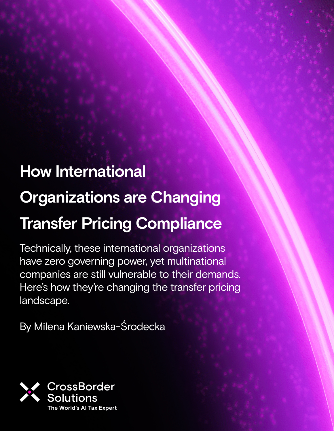## **How International Organizations are Changing Transfer Pricing Compliance**

Technically, these international organizations have zero governing power, yet multinational companies are still vulnerable to their demands. Here's how they're changing the transfer pricing landscape.

By Milena Kaniewska-Środecka

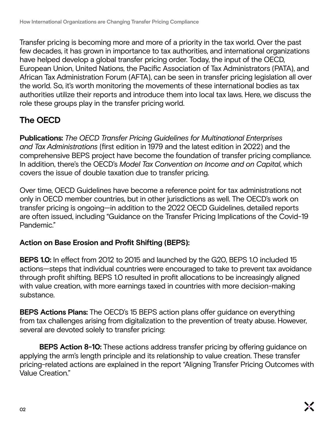Transfer pricing is becoming more and more of a priority in the tax world. Over the past few decades, it has grown in importance to tax authorities, and international organizations have helped develop a global transfer pricing order. Today, the input of the OECD, European Union, United Nations, the Pacific Association of Tax Administrators (PATA), and African Tax Administration Forum (AFTA), can be seen in transfer pricing legislation all over the world. So, it's worth monitoring the movements of these international bodies as tax authorities utilize their reports and introduce them into local tax laws. Here, we discuss the role these groups play in the transfer pricing world.

### **The OECD**

**Publications:** *The OECD Transfer Pricing Guidelines for Multinational Enterprises and Tax Administrations* (first edition in 1979 and the latest edition in 2022) and the comprehensive BEPS project have become the foundation of transfer pricing compliance. In addition, there's the OECD's *Model Tax Convention on Income and on Capital*, which covers the issue of double taxation due to transfer pricing.

Over time, OECD Guidelines have become a reference point for tax administrations not only in OECD member countries, but in other jurisdictions as well. The OECD's work on transfer pricing is ongoing—in addition to the 2022 OECD Guidelines, detailed reports are often issued, including "Guidance on the Transfer Pricing Implications of the Covid-19 Pandemic."

#### **Action on Base Erosion and Profit Shifting (BEPS):**

**BEPS 1.0:** In effect from 2012 to 2015 and launched by the G20, BEPS 1.0 included 15 actions—steps that individual countries were encouraged to take to prevent tax avoidance through profit shifting. BEPS 1.0 resulted in profit allocations to be increasingly aligned with value creation, with more earnings taxed in countries with more decision-making substance.

**BEPS Actions Plans:** The OECD's 15 BEPS action plans offer guidance on everything from tax challenges arising from digitalization to the prevention of treaty abuse. However, several are devoted solely to transfer pricing:

**BEPS Action 8-10:** These actions address transfer pricing by offering guidance on applying the arm's length principle and its relationship to value creation. These transfer pricing-related actions are explained in the report "Aligning Transfer Pricing Outcomes with Value Creation."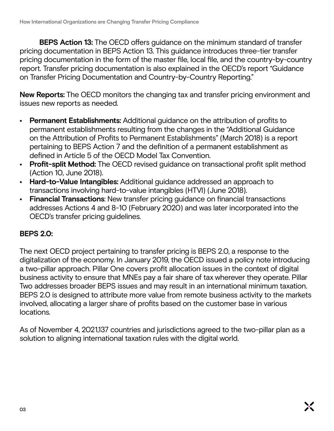**BEPS Action 13:** The OECD offers guidance on the minimum standard of transfer pricing documentation in BEPS Action 13. This guidance introduces three-tier transfer pricing documentation in the form of the master file, local file, and the country-by-country report. Transfer pricing documentation is also explained in the OECD's report "Guidance on Transfer Pricing Documentation and Country-by-Country Reporting."

**New Reports:** The OECD monitors the changing tax and transfer pricing environment and issues new reports as needed.

- **• Permanent Establishments:** Additional guidance on the attribution of profits to permanent establishments resulting from the changes in the "Additional Guidance on the Attribution of Profits to Permanent Establishments" (March 2018) is a report pertaining to BEPS Action 7 and the definition of a permanent establishment as defined in Article 5 of the OECD Model Tax Convention.
- **• Profit-split Method:** The OECD revised guidance on transactional profit split method (Action 10, June 2018).
- **• Hard-to-Value Intangibles:** Additional guidance addressed an approach to transactions involving hard-to-value intangibles (HTVI) (June 2018).
- **• Financial Transactions**: New transfer pricing guidance on financial transactions addresses Actions 4 and 8-10 (February 2020) and was later incorporated into the OECD's transfer pricing guidelines.

#### **BEPS 2.0:**

The next OECD project pertaining to transfer pricing is BEPS 2.0, a response to the digitalization of the economy. In January 2019, the OECD issued a policy note introducing a two-pillar approach. Pillar One covers profit allocation issues in the context of digital business activity to ensure that MNEs pay a fair share of tax wherever they operate. Pillar Two addresses broader BEPS issues and may result in an international minimum taxation. BEPS 2.0 is designed to attribute more value from remote business activity to the markets involved, allocating a larger share of profits based on the customer base in various locations.

As of November 4, 2021,137 countries and jurisdictions agreed to the two-pillar plan as a solution to aligning international taxation rules with the digital world.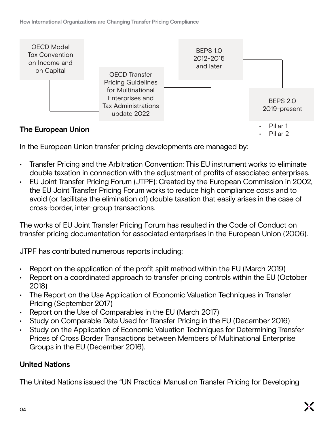

In the European Union transfer pricing developments are managed by:

- Transfer Pricing and the Arbitration Convention: This EU instrument works to eliminate double taxation in connection with the adjustment of profits of associated enterprises.
- EU Joint Transfer Pricing Forum (JTPF): Created by the European Commission in 2002, the EU Joint Transfer Pricing Forum works to reduce high compliance costs and to avoid (or facilitate the elimination of) double taxation that easily arises in the case of cross-border, inter-group transactions.

The works of EU Joint Transfer Pricing Forum has resulted in the Code of Conduct on transfer pricing documentation for associated enterprises in the European Union (2006).

JTPF has contributed numerous reports including:

- Report on the application of the profit split method within the EU (March 2019)
- Report on a coordinated approach to transfer pricing controls within the EU (October 2018)
- The Report on the Use Application of Economic Valuation Techniques in Transfer Pricing (September 2017)
- Report on the Use of Comparables in the EU (March 2017)
- Study on Comparable Data Used for Transfer Pricing in the EU (December 2016)
- Study on the Application of Economic Valuation Techniques for Determining Transfer Prices of Cross Border Transactions between Members of Multinational Enterprise Groups in the EU (December 2016).

#### **United Nations**

The United Nations issued the "UN Practical Manual on Transfer Pricing for Developing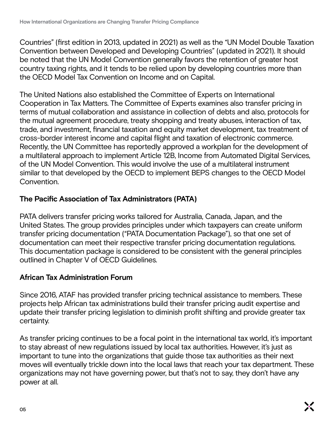Countries" (first edition in 2013, updated in 2021) as well as the "UN Model Double Taxation Convention between Developed and Developing Countries" (updated in 2021). It should be noted that the UN Model Convention generally favors the retention of greater host country taxing rights, and it tends to be relied upon by developing countries more than the OECD Model Tax Convention on Income and on Capital.

The United Nations also established the Committee of Experts on International Cooperation in Tax Matters. The Committee of Experts examines also transfer pricing in terms of mutual collaboration and assistance in collection of debts and also, protocols for the mutual agreement procedure, treaty shopping and treaty abuses, interaction of tax, trade, and investment, financial taxation and equity market development, tax treatment of cross-border interest income and capital flight and taxation of electronic commerce. Recently, the UN Committee has reportedly approved a workplan for the development of a multilateral approach to implement Article 12B, Income from Automated Digital Services, of the UN Model Convention. This would involve the use of a multilateral instrument similar to that developed by the OECD to implement BEPS changes to the OECD Model Convention.

#### **The Pacific Association of Tax Administrators (PATA)**

PATA delivers transfer pricing works tailored for Australia, Canada, Japan, and the United States. The group provides principles under which taxpayers can create uniform transfer pricing documentation ("PATA Documentation Package"), so that one set of documentation can meet their respective transfer pricing documentation regulations. This documentation package is considered to be consistent with the general principles outlined in Chapter V of OECD Guidelines.

#### **African Tax Administration Forum**

Since 2016, ATAF has provided transfer pricing technical assistance to members. These projects help African tax administrations build their transfer pricing audit expertise and update their transfer pricing legislation to diminish profit shifting and provide greater tax certainty.

As transfer pricing continues to be a focal point in the international tax world, it's important to stay abreast of new regulations issued by local tax authorities. However, it's just as important to tune into the organizations that guide those tax authorities as their next moves will eventually trickle down into the local laws that reach your tax department. These organizations may not have governing power, but that's not to say, they don't have any power at all.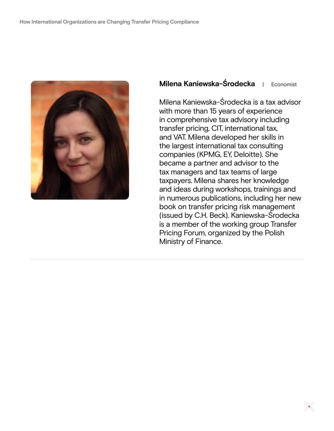

#### **Milena Kaniewska-Środecka** | Economist

Milena Kaniewska-Środecka is a tax advisor with more than 15 years of experience in comprehensive tax advisory including transfer pricing, CIT, international tax, and VAT. Milena developed her skills in the largest international tax consulting companies (KPMG, EY, Deloitte). She became a partner and advisor to the tax managers and tax teams of large taxpayers. Milena shares her knowledge and ideas during workshops, trainings and in numerous publications, including her new book on transfer pricing risk management (issued by C.H. Beck). Kaniewska-Środecka is a member of the working group Transfer Pricing Forum, organized by the Polish Ministry of Finance.